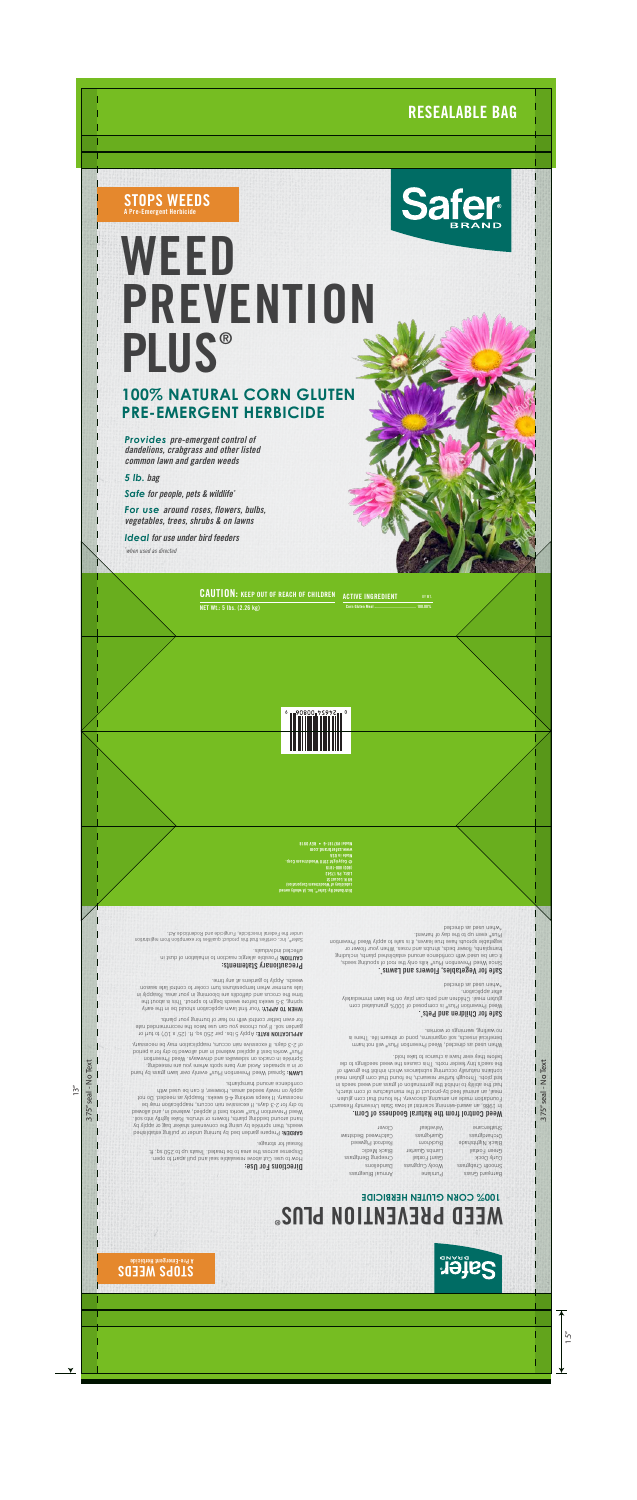## **RESEALABLE BAG**



**STOPS WEEDS**

**A Pre-Emergent Herbicide**

# **WEED PREVENTION PLUS®**



*Provides pre-emergent control of dandelions, crabgrass and other listed common lawn and garden weeds*

*5 lb. bag*

*Safe for people, pets & wildlife\**

*For use around roses, flowers, bulbs, vegetables, trees, shrubs & on lawns*

*Ideal for use under bird feeders \* when used as directed*

## **100% NATURAL CORN GLUTEN PRE-EMERGENT HERBICIDE**